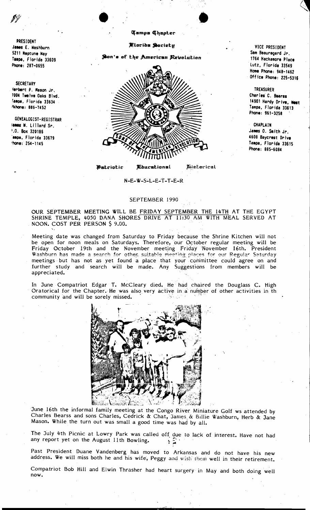PRESIDENT James E. Washburn 5211 Neptune Way Tampa, Florida 33609 Phone: 287-0655

**SECRETARY** terbent P. Mason Jr. 7004 Twelve Daks Blvd. Tampa, Florida 33634 <sup>2</sup>khone: 885-7452

GENEALOGIST-REGISTRAR lames W. Lillard Sr. .0. Box 320186 ampa, Florida 33679  $^{\prime}$ hone: 254-1145

## **Tampa Chapter**

Mlarids Society

Son's of the American Revolution



Patriotic **Khucational**  *Micharical* 

VICE PRESIDENT Sam Beauregard Jr. 1764 Hackamore Place Lutz, Florida 33549 Home Phone: 948-1462 Office Phone: 225-5316

**TREASURER** Charles C. Bearss 14901 Hardy Drive, West Tampa, Florida 33613 Phone: 961-3258

CHAPLAIN James O. Smith Jr. 4608 Baycrest Drive Tampa, Florida 33615 Phone: 885-6084

N-E-W-S-L-E-T-T-E-R

## SEPTEMBER 1990

OUR SEPTEMBER MEETING WILL BE FRIDAY SEPTEMBER THE 14TH AT THE EGYPT SHRINE TEMPLE, 4050 DANA SHORES DRIVE AT 11:30 AM WITH MEAL SERVED AT NOON. COST PER PERSON \$ 9.00.

Meeting date was changed from Saturday to Friday because the Shrine Kitchen will not be open for noon meals on Saturdays. Therefore, our October regular meeting will be Friday October 19th and the November meeting Friday November 16th. President Washburn has made a search for other suitable meeting places for our Regular Saturday meetings but has not as yet found a place that your committee could agree on and further study and search will be made. Any Suggestions from members will be appreciated.

In June Compatriot Edgar T. McCleary died. He had chaired the Douglass C. High Oratorical for the Chapter. He was also very active in a number of other activities in th community and will be sorely missed.



June 16th the informal family meeting at the Congo River Miniature Golf ws attended by Charles Bearss and sons Charles, Cedrick & Chat, James & Billie Washburn, Herb & Jane Mason. While the turn out was small a good time was had by all.

The July 4th Picnic at Lowry Park was called off due to lack of interest. Have not had any report yet on the August 11th Bowling.

Past President Duane Vandenberg has moved to Arkansas and do not have his new address. We will miss both he and his wife, Peggy and wish them well in their retirement.

Compatriot Bob Hill and Elwin Thrasher had heart surgery in May and both doing well now.